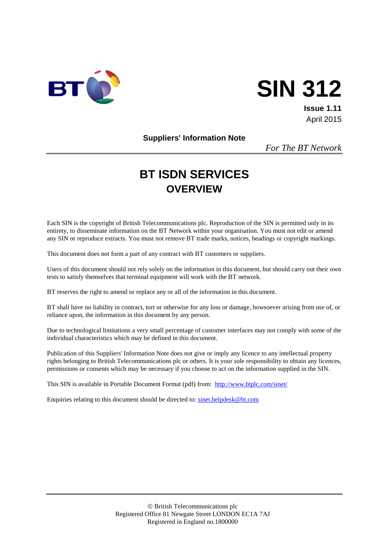

# **SIN 312**

**Issue 1.11** April 2015

**Suppliers' Information Note**

*For The BT Network*

# **BT ISDN SERVICES OVERVIEW**

Each SIN is the copyright of British Telecommunications plc. Reproduction of the SIN is permitted only in its entirety, to disseminate information on the BT Network within your organisation. You must not edit or amend any SIN or reproduce extracts. You must not remove BT trade marks, notices, headings or copyright markings.

This document does not form a part of any contract with BT customers or suppliers.

Users of this document should not rely solely on the information in this document, but should carry out their own tests to satisfy themselves that terminal equipment will work with the BT network.

BT reserves the right to amend or replace any or all of the information in this document.

BT shall have no liability in contract, tort or otherwise for any loss or damage, howsoever arising from use of, or reliance upon, the information in this document by any person.

Due to technological limitations a very small percentage of customer interfaces may not comply with some of the individual characteristics which may be defined in this document.

Publication of this Suppliers' Information Note does not give or imply any licence to any intellectual property rights belonging to British Telecommunications plc or others. It is your sole responsibility to obtain any licences, permissions or consents which may be necessary if you choose to act on the information supplied in the SIN.

This SIN is available in Portable Document Format (pdf) from: <http://www.btplc.com/sinet/>

Enquiries relating to this document should be directed to: [sinet.helpdesk@bt.com](mailto:sinet.helpdesk@bt.com)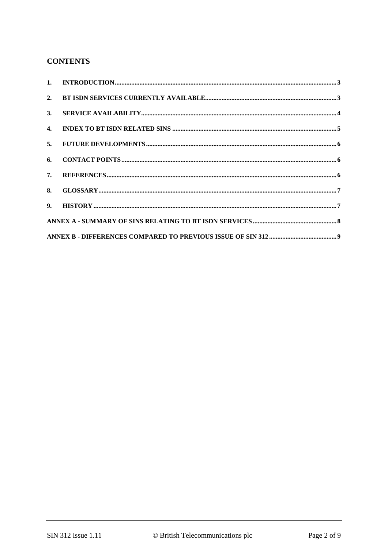# **CONTENTS**

| 3. |  |
|----|--|
|    |  |
|    |  |
|    |  |
|    |  |
|    |  |
|    |  |
|    |  |
|    |  |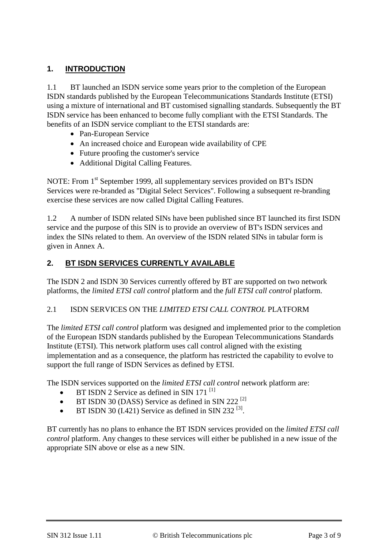# **1. INTRODUCTION**

1.1 BT launched an ISDN service some years prior to the completion of the European ISDN standards published by the European Telecommunications Standards Institute (ETSI) using a mixture of international and BT customised signalling standards. Subsequently the BT ISDN service has been enhanced to become fully compliant with the ETSI Standards. The benefits of an ISDN service compliant to the ETSI standards are:

- Pan-European Service
- An increased choice and European wide availability of CPE
- Future proofing the customer's service
- Additional Digital Calling Features.

NOTE: From 1<sup>st</sup> September 1999, all supplementary services provided on BT's ISDN Services were re-branded as "Digital Select Services". Following a subsequent re-branding exercise these services are now called Digital Calling Features.

1.2 A number of ISDN related SINs have been published since BT launched its first ISDN service and the purpose of this SIN is to provide an overview of BT's ISDN services and index the SINs related to them. An overview of the ISDN related SINs in tabular form is given in Annex A.

# **2. BT ISDN SERVICES CURRENTLY AVAILABLE**

The ISDN 2 and ISDN 30 Services currently offered by BT are supported on two network platforms, the *limited ETSI call control* platform and the *full ETSI call control* platform.

#### 2.1 ISDN SERVICES ON THE *LIMITED ETSI CALL CONTROL* PLATFORM

The *limited ETSI call control* platform was designed and implemented prior to the completion of the European ISDN standards published by the European Telecommunications Standards Institute (ETSI). This network platform uses call control aligned with the existing implementation and as a consequence, the platform has restricted the capability to evolve to support the full range of ISDN Services as defined by ETSI.

The ISDN services supported on the *limited ETSI call control* network platform are:

- BT ISDN 2 Service as defined in SIN 171  $^{[1]}$  $^{[1]}$  $^{[1]}$
- BT ISDN 30 (DASS) Service as defined in SIN 222<sup>[\[2\]](#page-5-1)</sup>
- BT ISDN 30 (I.421) Service as defined in SIN 232<sup>[\[3\]](#page-5-2)</sup>.

BT currently has no plans to enhance the BT ISDN services provided on the *limited ETSI call control* platform. Any changes to these services will either be published in a new issue of the appropriate SIN above or else as a new SIN.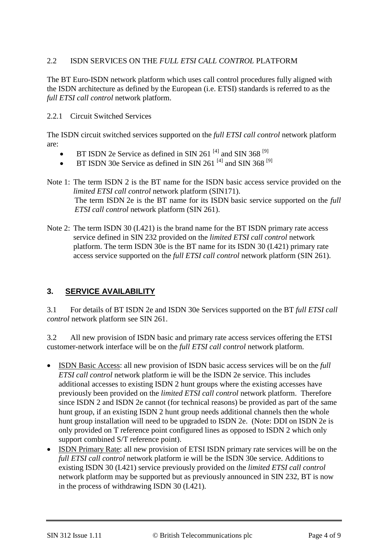#### 2.2 ISDN SERVICES ON THE *FULL ETSI CALL CONTROL* PLATFORM

The BT Euro-ISDN network platform which uses call control procedures fully aligned with the ISDN architecture as defined by the European (i.e. ETSI) standards is referred to as the *full ETSI call control* network platform.

#### 2.2.1 Circuit Switched Services

The ISDN circuit switched services supported on the *full ETSI call control* network platform are:

- BT ISDN 2e Service as defined in SIN 261<sup>[\[4\]](#page-5-3)</sup> and SIN 368<sup>[\[9\]](#page-5-4)</sup>
- BT ISDN 30e Service as defined in SIN 261<sup>[\[4\]](#page-5-3)</sup> and SIN 368<sup>[\[9\]](#page-5-4)</sup>
- Note 1: The term ISDN 2 is the BT name for the ISDN basic access service provided on the *limited ETSI call control* network platform (SIN171). The term ISDN 2e is the BT name for its ISDN basic service supported on the *full ETSI call control* network platform (SIN 261).
- Note 2: The term ISDN 30 (I.421) is the brand name for the BT ISDN primary rate access service defined in SIN 232 provided on the *limited ETSI call control* network platform. The term ISDN 30e is the BT name for its ISDN 30 (I.421) primary rate access service supported on the *full ETSI call control* network platform (SIN 261).

#### **3. SERVICE AVAILABILITY**

3.1 For details of BT ISDN 2e and ISDN 30e Services supported on the BT *full ETSI call control* network platform see SIN 261.

3.2 All new provision of ISDN basic and primary rate access services offering the ETSI customer-network interface will be on the *full ETSI call control* network platform.

- ISDN Basic Access: all new provision of ISDN basic access services will be on the *full ETSI call control* network platform ie will be the ISDN 2e service. This includes additional accesses to existing ISDN 2 hunt groups where the existing accesses have previously been provided on the *limited ETSI call control* network platform. Therefore since ISDN 2 and ISDN 2e cannot (for technical reasons) be provided as part of the same hunt group, if an existing ISDN 2 hunt group needs additional channels then the whole hunt group installation will need to be upgraded to ISDN 2e. (Note: DDI on ISDN 2e is only provided on T reference point configured lines as opposed to ISDN 2 which only support combined S/T reference point).
- ISDN Primary Rate: all new provision of ETSI ISDN primary rate services will be on the *full ETSI call control* network platform ie will be the ISDN 30e service. Additions to existing ISDN 30 (I.421) service previously provided on the *limited ETSI call control*  network platform may be supported but as previously announced in SIN 232, BT is now in the process of withdrawing ISDN 30 (I.421)*.*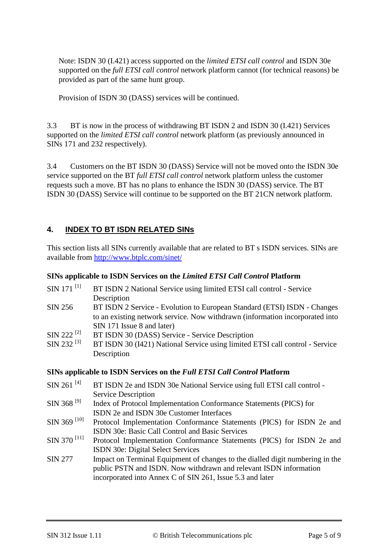Note: ISDN 30 (I.421) access supported on the *limited ETSI call control* and ISDN 30e supported on the *full ETSI call control* network platform cannot (for technical reasons) be provided as part of the same hunt group.

Provision of ISDN 30 (DASS) services will be continued.

3.3 BT is now in the process of withdrawing BT ISDN 2 and ISDN 30 (I.421) Services supported on the *limited ETSI call control* network platform (as previously announced in SINs 171 and 232 respectively).

3.4 Customers on the BT ISDN 30 (DASS) Service will not be moved onto the ISDN 30e service supported on the BT *full ETSI call control* network platform unless the customer requests such a move. BT has no plans to enhance the ISDN 30 (DASS) service. The BT ISDN 30 (DASS) Service will continue to be supported on the BT 21CN network platform.

#### **4. INDEX TO BT ISDN RELATED SINs**

This section lists all SINs currently available that are related to BT s ISDN services. SINs are available from<http://www.btplc.com/sinet/>

#### **SINs applicable to ISDN Services on the** *Limited ETSI Call Control* **Platform**

| $SIN$ 171 <sup>[1]</sup> | BT ISDN 2 National Service using limited ETSI call control - Service         |
|--------------------------|------------------------------------------------------------------------------|
|                          | Description                                                                  |
| SIN 256                  | BT ISDN 2 Service - Evolution to European Standard (ETSI) ISDN - Changes     |
|                          | to an existing network service. Now withdrawn (information incorporated into |
|                          | SIN 171 Issue 8 and later)                                                   |
| $SIN 222$ <sup>[2]</sup> | BT ISDN 30 (DASS) Service - Service Description                              |
| SIN 232 <sup>[3]</sup>   | BT ISDN 30 (I421) National Service using limited ETSI call control - Service |
|                          | Description                                                                  |

#### **SINs applicable to ISDN Services on the** *Full ETSI Call Control* **Platform**

SIN 261<sup>[\[4\]](#page-5-3)</sup> BT ISDN 2e and ISDN 30e National Service using full ETSI call control -Service Description SIN 368<sup>[\[9\]](#page-5-4)</sup> Index of Protocol Implementation Conformance Statements (PICS) for ISDN 2e and ISDN 30e Customer Interfaces SIN 369<sup>[\[10\]](#page-5-5)</sup> Protocol Implementation Conformance Statements (PICS) for ISDN 2e and ISDN 30e: Basic Call Control and Basic Services  $\text{SIN } 370$  [\[11\]](#page-5-6) Protocol Implementation Conformance Statements (PICS) for ISDN 2e and ISDN 30e: Digital Select Services SIN 277 Impact on Terminal Equipment of changes to the dialled digit numbering in the public PSTN and ISDN. Now withdrawn and relevant ISDN information incorporated into Annex C of SIN 261, Issue 5.3 and later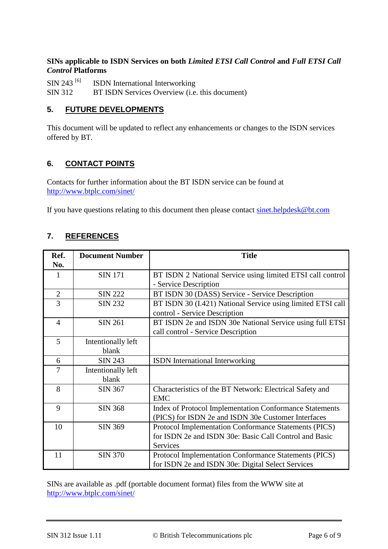#### **SINs applicable to ISDN Services on both** *Limited ETSI Call Control* **and** *Full ETSI Call Control* **Platforms**

SIN 243<sup>[\[6\]](#page-5-7)</sup> ISDN International Interworking<br>SIN 312 BT ISDN Services Overview (i.e. BT ISDN Services Overview (i.e. this document)

#### <span id="page-5-8"></span>**5. FUTURE DEVELOPMENTS**

<span id="page-5-10"></span><span id="page-5-9"></span>This document will be updated to reflect any enhancements or changes to the ISDN services offered by BT.

### <span id="page-5-11"></span>**6. CONTACT POINTS**

Contacts for further information about the BT ISDN service can be found at <http://www.btplc.com/sinet/>

<span id="page-5-12"></span>If you have questions relating to this document then please contact [sinet.helpdesk@bt.com](mailto:sinet.helpdesk@bt.com)

# <span id="page-5-15"></span>**7. REFERENCES**

<span id="page-5-14"></span><span id="page-5-13"></span><span id="page-5-7"></span><span id="page-5-3"></span><span id="page-5-2"></span><span id="page-5-1"></span><span id="page-5-0"></span>

| Ref.<br>No.    | <b>Document Number</b>      | <b>Title</b>                                                                                                                       |
|----------------|-----------------------------|------------------------------------------------------------------------------------------------------------------------------------|
| $\mathbf{1}$   | <b>SIN 171</b>              | BT ISDN 2 National Service using limited ETSI call control<br>- Service Description                                                |
| $\overline{2}$ | <b>SIN 222</b>              | BT ISDN 30 (DASS) Service - Service Description                                                                                    |
| 3              | <b>SIN 232</b>              | BT ISDN 30 (I.421) National Service using limited ETSI call<br>control - Service Description                                       |
| $\overline{4}$ | <b>SIN 261</b>              | BT ISDN 2e and ISDN 30e National Service using full ETSI<br>call control - Service Description                                     |
| 5              | Intentionally left<br>blank |                                                                                                                                    |
| 6              | <b>SIN 243</b>              | <b>ISDN</b> International Interworking                                                                                             |
| 7              | Intentionally left<br>blank |                                                                                                                                    |
| 8              | <b>SIN 367</b>              | Characteristics of the BT Network: Electrical Safety and<br><b>EMC</b>                                                             |
| 9              | <b>SIN 368</b>              | Index of Protocol Implementation Conformance Statements<br>(PICS) for ISDN 2e and ISDN 30e Customer Interfaces                     |
| 10             | <b>SIN 369</b>              | Protocol Implementation Conformance Statements (PICS)<br>for ISDN 2e and ISDN 30e: Basic Call Control and Basic<br><b>Services</b> |
| 11             | <b>SIN 370</b>              | Protocol Implementation Conformance Statements (PICS)<br>for ISDN 2e and ISDN 30e: Digital Select Services                         |

<span id="page-5-6"></span><span id="page-5-5"></span><span id="page-5-4"></span>SINs are available as .pdf (portable document format) files from the WWW site at <http://www.btplc.com/sinet/>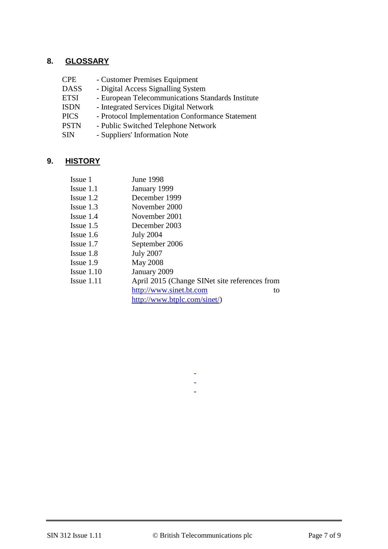#### **8. GLOSSARY**

- CPE Customer Premises Equipment
- 
- DASS Digital Access Signalling System<br>ETSI European Telecommunications St ETSI - European Telecommunications Standards Institute<br>ISDN - Integrated Services Digital Network
- ISDN Integrated Services Digital Network<br>PICS Protocol Implementation Conforman
- PICS Protocol Implementation Conformance Statement<br>PSTN Public Switched Telephone Network
- PSTN Public Switched Telephone Network<br>SIN Suppliers' Information Note
- Suppliers' Information Note

#### **9. HISTORY**

| Issue 1      | June 1998                                     |
|--------------|-----------------------------------------------|
| Issue 1.1    | January 1999                                  |
| Issue 1.2    | December 1999                                 |
| Issue $1.3$  | November 2000                                 |
| Issue 1.4    | November 2001                                 |
| Issue $1.5$  | December 2003                                 |
| Issue 1.6    | <b>July 2004</b>                              |
| Issue 1.7    | September 2006                                |
| Issue 1.8    | <b>July 2007</b>                              |
| Issue 1.9    | <b>May 2008</b>                               |
| Issue $1.10$ | January 2009                                  |
| Issue $1.11$ | April 2015 (Change SINet site references from |
|              | http://www.sinet.bt.com<br>to                 |
|              | http://www.btplc.com/sinet/)                  |
|              |                                               |

- - -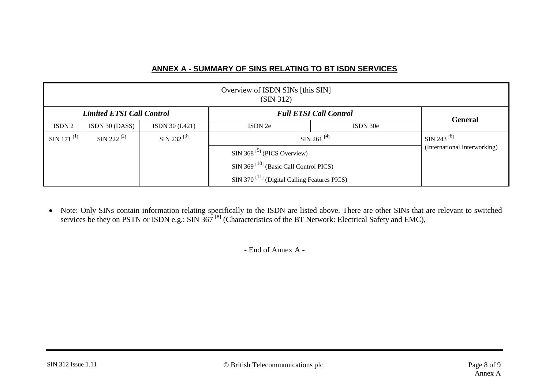#### **ANNEX A - SUMMARY OF SINS RELATING TO BT ISDN SERVICES**

| Overview of ISDN SINs [this SIN]<br>(SIN 312) |                        |                               |                                                                   |          |                              |  |  |  |
|-----------------------------------------------|------------------------|-------------------------------|-------------------------------------------------------------------|----------|------------------------------|--|--|--|
| <b>Limited ETSI Call Control</b>              |                        | <b>Full ETSI Call Control</b> |                                                                   |          |                              |  |  |  |
| ISDN 2                                        | ISDN 30 (DASS)         | ISDN 30 (I.421)               | ISDN 2e                                                           | ISDN 30e | <b>General</b>               |  |  |  |
| SIN 171 $^{[1]}$                              | SIN 222 <sup>[2]</sup> | SIN 232 $^{[3]}$              | SIN 261 $[4]$                                                     |          | SIN 243 <sup>[6]</sup>       |  |  |  |
|                                               |                        |                               | $SIN 368$ <sup>[9]</sup> (PICS Overview)                          |          | (International Interworking) |  |  |  |
|                                               |                        |                               | $\text{SIN } 369$ <sup>[10]</sup> (Basic Call Control PICS)       |          |                              |  |  |  |
|                                               |                        |                               | $\text{SIN } 370$ <sup>[11]</sup> (Digital Calling Features PICS) |          |                              |  |  |  |

• Note: Only SINs contain information relating specifically to the ISDN are listed above. There are other SINs that are relevant to switched services be they on PSTN or ISDN e.g.: SIN 367<sup>[\[8\]](#page-5-15)</sup> (Characteristics of the BT Network: Electrical Safety and EMC),

- End of Annex A -